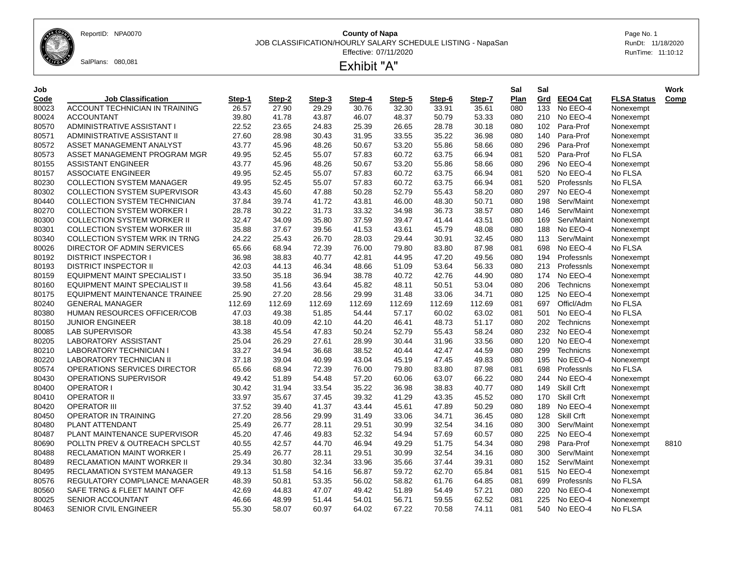ReportID: NPA0070 **County of Napa** Page No. 1

JOB CLASSIFICATION/HOURLY SALARY SCHEDULE LISTING - NapaSan RunDt: 11/18/2020

Effective: 07/11/2020 RunTime: 11:10:12



## Exhibit "A"

| ۰.<br>. .<br>۰.<br>I<br>v<br>$\sim$<br>$\sim$ $-$ |  |
|---------------------------------------------------|--|
|---------------------------------------------------|--|

| Job   |                                      |        |        |        |        |        |        |        | Sal  | Sal              |                 |                    | Work |
|-------|--------------------------------------|--------|--------|--------|--------|--------|--------|--------|------|------------------|-----------------|--------------------|------|
| Code  | <b>Job Classification</b>            | Step-1 | Step-2 | Step-3 | Step-4 | Step-5 | Step-6 | Step-7 | Plan | Grd              | <b>EEO4 Cat</b> | <b>FLSA Status</b> | Comp |
| 80023 | ACCOUNT TECHNICIAN IN TRAINING       | 26.57  | 27.90  | 29.29  | 30.76  | 32.30  | 33.91  | 35.61  | 080  | $\overline{133}$ | No EEO-4        | Nonexempt          |      |
| 80024 | <b>ACCOUNTANT</b>                    | 39.80  | 41.78  | 43.87  | 46.07  | 48.37  | 50.79  | 53.33  | 080  |                  | 210 No EEO-4    | Nonexempt          |      |
| 80570 | ADMINISTRATIVE ASSISTANT I           | 22.52  | 23.65  | 24.83  | 25.39  | 26.65  | 28.78  | 30.18  | 080  | 102              | Para-Prof       | Nonexempt          |      |
| 80571 | ADMINISTRATIVE ASSISTANT II          | 27.60  | 28.98  | 30.43  | 31.95  | 33.55  | 35.22  | 36.98  | 080  | 140              | Para-Prof       | Nonexempt          |      |
| 80572 | ASSET MANAGEMENT ANALYST             | 43.77  | 45.96  | 48.26  | 50.67  | 53.20  | 55.86  | 58.66  | 080  | 296              | Para-Prof       | Nonexempt          |      |
| 80573 | ASSET MANAGEMENT PROGRAM MGR         | 49.95  | 52.45  | 55.07  | 57.83  | 60.72  | 63.75  | 66.94  | 081  | 520              | Para-Prof       | No FLSA            |      |
| 80155 | <b>ASSISTANT ENGINEER</b>            | 43.77  | 45.96  | 48.26  | 50.67  | 53.20  | 55.86  | 58.66  | 080  | 296              | No EEO-4        | Nonexempt          |      |
| 80157 | <b>ASSOCIATE ENGINEER</b>            | 49.95  | 52.45  | 55.07  | 57.83  | 60.72  | 63.75  | 66.94  | 081  | 520              | No EEO-4        | No FLSA            |      |
| 80230 | <b>COLLECTION SYSTEM MANAGER</b>     | 49.95  | 52.45  | 55.07  | 57.83  | 60.72  | 63.75  | 66.94  | 081  |                  | 520 Professnls  | No FLSA            |      |
| 80302 | <b>COLLECTION SYSTEM SUPERVISOR</b>  | 43.43  | 45.60  | 47.88  | 50.28  | 52.79  | 55.43  | 58.20  | 080  | 297              | No EEO-4        | Nonexempt          |      |
| 80440 | <b>COLLECTION SYSTEM TECHNICIAN</b>  | 37.84  | 39.74  | 41.72  | 43.81  | 46.00  | 48.30  | 50.71  | 080  | 198              | Serv/Maint      | Nonexempt          |      |
| 80270 | <b>COLLECTION SYSTEM WORKER I</b>    | 28.78  | 30.22  | 31.73  | 33.32  | 34.98  | 36.73  | 38.57  | 080  | 146              | Serv/Maint      | Nonexempt          |      |
| 80300 | <b>COLLECTION SYSTEM WORKER II</b>   | 32.47  | 34.09  | 35.80  | 37.59  | 39.47  | 41.44  | 43.51  | 080  | 169              | Serv/Maint      | Nonexempt          |      |
| 80301 | <b>COLLECTION SYSTEM WORKER III</b>  | 35.88  | 37.67  | 39.56  | 41.53  | 43.61  | 45.79  | 48.08  | 080  | 188              | No EEO-4        | Nonexempt          |      |
| 80340 | COLLECTION SYSTEM WRK IN TRNG        | 24.22  | 25.43  | 26.70  | 28.03  | 29.44  | 30.91  | 32.45  | 080  | 113              | Serv/Maint      | Nonexempt          |      |
| 80026 | DIRECTOR OF ADMIN SERVICES           | 65.66  | 68.94  | 72.39  | 76.00  | 79.80  | 83.80  | 87.98  | 081  | 698              | No EEO-4        | No FLSA            |      |
| 80192 | <b>DISTRICT INSPECTOR I</b>          | 36.98  | 38.83  | 40.77  | 42.81  | 44.95  | 47.20  | 49.56  | 080  | 194              | Professnis      | Nonexempt          |      |
| 80193 | <b>DISTRICT INSPECTOR II</b>         | 42.03  | 44.13  | 46.34  | 48.66  | 51.09  | 53.64  | 56.33  | 080  |                  | 213 Professnis  | Nonexempt          |      |
| 80159 | EQUIPMENT MAINT SPECIALIST I         | 33.50  | 35.18  | 36.94  | 38.78  | 40.72  | 42.76  | 44.90  | 080  | 174              | No EEO-4        | Nonexempt          |      |
| 80160 | EQUIPMENT MAINT SPECIALIST II        | 39.58  | 41.56  | 43.64  | 45.82  | 48.11  | 50.51  | 53.04  | 080  | 206              | Technicns       | Nonexempt          |      |
| 80175 | <b>EQUIPMENT MAINTENANCE TRAINEE</b> | 25.90  | 27.20  | 28.56  | 29.99  | 31.48  | 33.06  | 34.71  | 080  |                  | 125 No EEO-4    | Nonexempt          |      |
| 80240 | <b>GENERAL MANAGER</b>               | 112.69 | 112.69 | 112.69 | 112.69 | 112.69 | 112.69 | 112.69 | 081  | 697              | Officl/Adm      | No FLSA            |      |
| 80380 | HUMAN RESOURCES OFFICER/COB          | 47.03  | 49.38  | 51.85  | 54.44  | 57.17  | 60.02  | 63.02  | 081  | 501              | No EEO-4        | No FLSA            |      |
| 80150 | <b>JUNIOR ENGINEER</b>               | 38.18  | 40.09  | 42.10  | 44.20  | 46.41  | 48.73  | 51.17  | 080  |                  | 202 Technicns   | Nonexempt          |      |
| 80085 | <b>LAB SUPERVISOR</b>                | 43.38  | 45.54  | 47.83  | 50.24  | 52.79  | 55.43  | 58.24  | 080  |                  | 232 No EEO-4    | Nonexempt          |      |
| 80205 | LABORATORY ASSISTANT                 | 25.04  | 26.29  | 27.61  | 28.99  | 30.44  | 31.96  | 33.56  | 080  | 120              | No EEO-4        | Nonexempt          |      |
| 80210 | <b>LABORATORY TECHNICIAN I</b>       | 33.27  | 34.94  | 36.68  | 38.52  | 40.44  | 42.47  | 44.59  | 080  | 299              | Technicns       | Nonexempt          |      |
| 80220 | <b>LABORATORY TECHNICIAN II</b>      | 37.18  | 39.04  | 40.99  | 43.04  | 45.19  | 47.45  | 49.83  | 080  | 195              | No EEO-4        | Nonexempt          |      |
| 80574 | OPERATIONS SERVICES DIRECTOR         | 65.66  | 68.94  | 72.39  | 76.00  | 79.80  | 83.80  | 87.98  | 081  | 698              | Professnis      | No FLSA            |      |
| 80430 | OPERATIONS SUPERVISOR                | 49.42  | 51.89  | 54.48  | 57.20  | 60.06  | 63.07  | 66.22  | 080  | 244              | No EEO-4        | Nonexempt          |      |
| 80400 | <b>OPERATOR I</b>                    | 30.42  | 31.94  | 33.54  | 35.22  | 36.98  | 38.83  | 40.77  | 080  | 149              | Skill Crft      | Nonexempt          |      |
| 80410 | <b>OPERATOR II</b>                   | 33.97  | 35.67  | 37.45  | 39.32  | 41.29  | 43.35  | 45.52  | 080  |                  | 170 Skill Crft  | Nonexempt          |      |
| 80420 | <b>OPERATOR III</b>                  | 37.52  | 39.40  | 41.37  | 43.44  | 45.61  | 47.89  | 50.29  | 080  | 189              | No EEO-4        | Nonexempt          |      |
| 80450 | OPERATOR IN TRAINING                 | 27.20  | 28.56  | 29.99  | 31.49  | 33.06  | 34.71  | 36.45  | 080  | 128              | Skill Crft      | Nonexempt          |      |
| 80480 | PLANT ATTENDANT                      | 25.49  | 26.77  | 28.11  | 29.51  | 30.99  | 32.54  | 34.16  | 080  | 300              | Serv/Maint      | Nonexempt          |      |
| 80487 | PLANT MAINTENANCE SUPERVISOR         | 45.20  | 47.46  | 49.83  | 52.32  | 54.94  | 57.69  | 60.57  | 080  | 225              | No EEO-4        | Nonexempt          |      |
| 80690 | POLLTN PREV & OUTREACH SPCLST        | 40.55  | 42.57  | 44.70  | 46.94  | 49.29  | 51.75  | 54.34  | 080  | 298              | Para-Prof       | Nonexempt          | 8810 |
| 80488 | <b>RECLAMATION MAINT WORKER I</b>    | 25.49  | 26.77  | 28.11  | 29.51  | 30.99  | 32.54  | 34.16  | 080  | 300              | Serv/Maint      | Nonexempt          |      |
| 80489 | <b>RECLAMATION MAINT WORKER II</b>   | 29.34  | 30.80  | 32.34  | 33.96  | 35.66  | 37.44  | 39.31  | 080  | 152              | Serv/Maint      | Nonexempt          |      |
| 80495 | <b>RECLAMATION SYSTEM MANAGER</b>    | 49.13  | 51.58  | 54.16  | 56.87  | 59.72  | 62.70  | 65.84  | 081  |                  | 515 No EEO-4    | Nonexempt          |      |
| 80576 | REGULATORY COMPLIANCE MANAGER        | 48.39  | 50.81  | 53.35  | 56.02  | 58.82  | 61.76  | 64.85  | 081  | 699              | Professnis      | No FLSA            |      |
| 80560 | SAFE TRNG & FLEET MAINT OFF          | 42.69  | 44.83  | 47.07  | 49.42  | 51.89  | 54.49  | 57.21  | 080  |                  | 220 No EEO-4    | Nonexempt          |      |
| 80025 | SENIOR ACCOUNTANT                    | 46.66  | 48.99  | 51.44  | 54.01  | 56.71  | 59.55  | 62.52  | 081  | 225              | No EEO-4        | Nonexempt          |      |
| 80463 | <b>SENIOR CIVIL ENGINEER</b>         | 55.30  | 58.07  | 60.97  | 64.02  | 67.22  | 70.58  | 74.11  | 081  |                  | 540 No EEO-4    | No FLSA            |      |